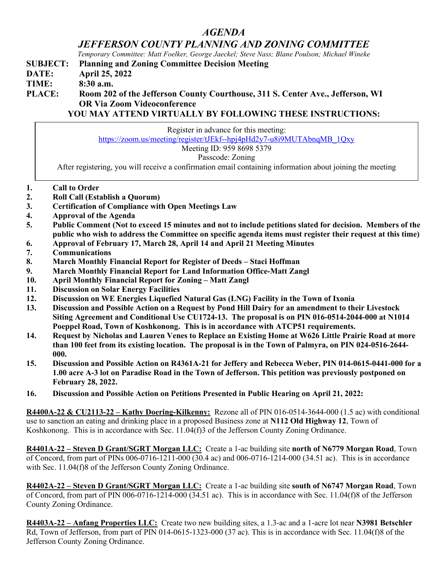## *AGENDA*

*JEFFERSON COUNTY PLANNING AND ZONING COMMITTEE*

*Temporary Committee: Matt Foelker, George Jaeckel; Steve Nass; Blane Poulson; Michael Wineke*

**SUBJECT: Planning and Zoning Committee Decision Meeting**

**DATE: April 25, 2022**

**TIME: 8:30 a.m.**

## **PLACE: Room 202 of the Jefferson County Courthouse, 311 S. Center Ave., Jefferson, WI OR Via Zoom Videoconference**

**YOU MAY ATTEND VIRTUALLY BY FOLLOWING THESE INSTRUCTIONS:**

| Register in advance for this meeting:                                                                     |
|-----------------------------------------------------------------------------------------------------------|
| https://zoom.us/meeting/register/tJEkf--hpj4pHd2y7-u8i9MUTAbnqMB 1Qxy                                     |
| Meeting ID: 959 8698 5379                                                                                 |
| Passcode: Zoning                                                                                          |
| After registering, you will receive a confirmation email containing information about joining the meeting |
|                                                                                                           |
| $\alpha$ 11 $\alpha$ 1                                                                                    |

- **1. Call to Order**
- **2. Roll Call (Establish a Quorum)**
- **3. Certification of Compliance with Open Meetings Law**
- **4. Approval of the Agenda**
- **5. Public Comment (Not to exceed 15 minutes and not to include petitions slated for decision. Members of the public who wish to address the Committee on specific agenda items must register their request at this time)**
- **6. Approval of February 17, March 28, April 14 and April 21 Meeting Minutes**
- **7. Communications**
- **8. March Monthly Financial Report for Register of Deeds – Staci Hoffman**
- **9. March Monthly Financial Report for Land Information Office-Matt Zangl**
- **10. April Monthly Financial Report for Zoning – Matt Zangl**
- **11. Discussion on Solar Energy Facilities**
- **12. Discussion on WE Energies Liquefied Natural Gas (LNG) Facility in the Town of Ixonia**
- **13. Discussion and Possible Action on a Request by Pond Hill Dairy for an amendment to their Livestock Siting Agreement and Conditional Use CU1724-13. The proposal is on PIN 016-0514-2044-000 at N1014 Poeppel Road, Town of Koshkonong. This is in accordance with ATCP51 requirements.**
- **14. Request by Nicholas and Lauren Venes to Replace an Existing Home at W626 Little Prairie Road at more than 100 feet from its existing location. The proposal is in the Town of Palmyra, on PIN 024-0516-2644- 000.**
- **15. Discussion and Possible Action on R4361A-21 for Jeffery and Rebecca Weber, PIN 014-0615-0441-000 for a 1.00 acre A-3 lot on Paradise Road in the Town of Jefferson. This petition was previously postponed on February 28, 2022.**
- **16. Discussion and Possible Action on Petitions Presented in Public Hearing on April 21, 2022:**

**R4400A-22 & CU2113-22 – Kathy Doering-Kilkenny:** Rezone all of PIN 016-0514-3644-000 (1.5 ac) with conditional use to sanction an eating and drinking place in a proposed Business zone at **N112 Old Highway 12**, Town of Koshkonong. This is in accordance with Sec. 11.04(f)3 of the Jefferson County Zoning Ordinance.

**R4401A-22 – Steven D Grant/SGRT Morgan LLC:** Create a 1-ac building site **north of N6779 Morgan Road**, Town of Concord, from part of PINs 006-0716-1211-000 (30.4 ac) and 006-0716-1214-000 (34.51 ac). This is in accordance with Sec. 11.04(f)8 of the Jefferson County Zoning Ordinance.

**R4402A-22 – Steven D Grant/SGRT Morgan LLC:** Create a 1-ac building site **south of N6747 Morgan Road**, Town of Concord, from part of PIN 006-0716-1214-000 (34.51 ac). This is in accordance with Sec. 11.04(f)8 of the Jefferson County Zoning Ordinance.

**R4403A-22 – Anfang Properties LLC:** Create two new building sites, a 1.3-ac and a 1-acre lot near **N3981 Betschler**  Rd, Town of Jefferson, from part of PIN 014-0615-1323-000 (37 ac). This is in accordance with Sec. 11.04(f)8 of the Jefferson County Zoning Ordinance.